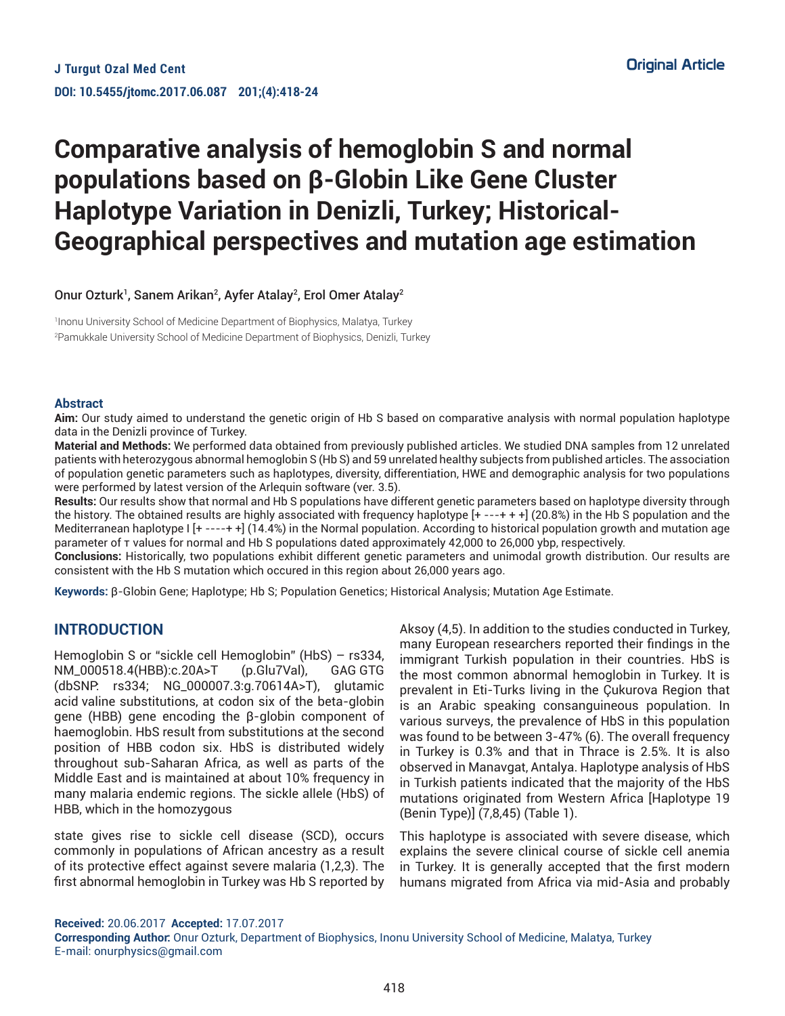# **Comparative analysis of hemoglobin S and normal populations based on β-Globin Like Gene Cluster Haplotype Variation in Denizli, Turkey; Historical-Geographical perspectives and mutation age estimation**

Onur Ozturk<sup>1</sup>, Sanem Arikan<sup>2</sup>, Ayfer Atalay<sup>2</sup>, Erol Omer Atalay<sup>2</sup>

1 Inonu University School of Medicine Department of Biophysics, Malatya, Turkey 2 Pamukkale University School of Medicine Department of Biophysics, Denizli, Turkey

#### **Abstract**

**Aim:** Our study aimed to understand the genetic origin of Hb S based on comparative analysis with normal population haplotype data in the Denizli province of Turkey.

**Material and Methods:** We performed data obtained from previously published articles. We studied DNA samples from 12 unrelated patients with heterozygous abnormal hemoglobin S (Hb S) and 59 unrelated healthy subjects from published articles. The association of population genetic parameters such as haplotypes, diversity, differentiation, HWE and demographic analysis for two populations were performed by latest version of the Arlequin software (ver. 3.5).

**Results:** Our results show that normal and Hb S populations have different genetic parameters based on haplotype diversity through the history. The obtained results are highly associated with frequency haplotype [+ ---+ + +] (20.8%) in the Hb S population and the Mediterranean haplotype I [+ ----+ +] (14.4%) in the Normal population. According to historical population growth and mutation age parameter of τ values for normal and Hb S populations dated approximately 42,000 to 26,000 ybp, respectively.

**Conclusions:** Historically, two populations exhibit different genetic parameters and unimodal growth distribution. Our results are consistent with the Hb S mutation which occured in this region about 26,000 years ago.

**Keywords:** β-Globin Gene; Haplotype; Hb S; Population Genetics; Historical Analysis; Mutation Age Estimate.

# **INTRODUCTION**

Hemoglobin S or "sickle cell Hemoglobin" (HbS) – rs334, NM\_000518.4(HBB):c.20A>T (p.Glu7Val), GAG GTG (dbSNP: rs334; NG\_000007.3:g.70614A>T), glutamic acid valine substitutions, at codon six of the beta-globin gene (HBB) gene encoding the β-globin component of haemoglobin. HbS result from substitutions at the second position of HBB codon six. HbS is distributed widely throughout sub-Saharan Africa, as well as parts of the Middle East and is maintained at about 10% frequency in many malaria endemic regions. The sickle allele (HbS) of HBB, which in the homozygous

state gives rise to sickle cell disease (SCD), occurs commonly in populations of African ancestry as a result of its protective effect against severe malaria (1,2,3). The first abnormal hemoglobin in Turkey was Hb S reported by Aksoy (4,5). In addition to the studies conducted in Turkey, many European researchers reported their findings in the immigrant Turkish population in their countries. HbS is the most common abnormal hemoglobin in Turkey. It is prevalent in Eti-Turks living in the Çukurova Region that is an Arabic speaking consanguineous population. In various surveys, the prevalence of HbS in this population was found to be between 3-47% (6). The overall frequency in Turkey is 0.3% and that in Thrace is 2.5%. It is also observed in Manavgat, Antalya. Haplotype analysis of HbS in Turkish patients indicated that the majority of the HbS mutations originated from Western Africa [Haplotype 19 (Benin Type)] (7,8,45) (Table 1).

This haplotype is associated with severe disease, which explains the severe clinical course of sickle cell anemia in Turkey. It is generally accepted that the first modern humans migrated from Africa via mid-Asia and probably

**Received:** 20.06.2017 **Accepted:** 17.07.2017

**Corresponding Author:** Onur Ozturk, Department of Biophysics, Inonu University School of Medicine, Malatya, Turkey E-mail: onurphysics@gmail.com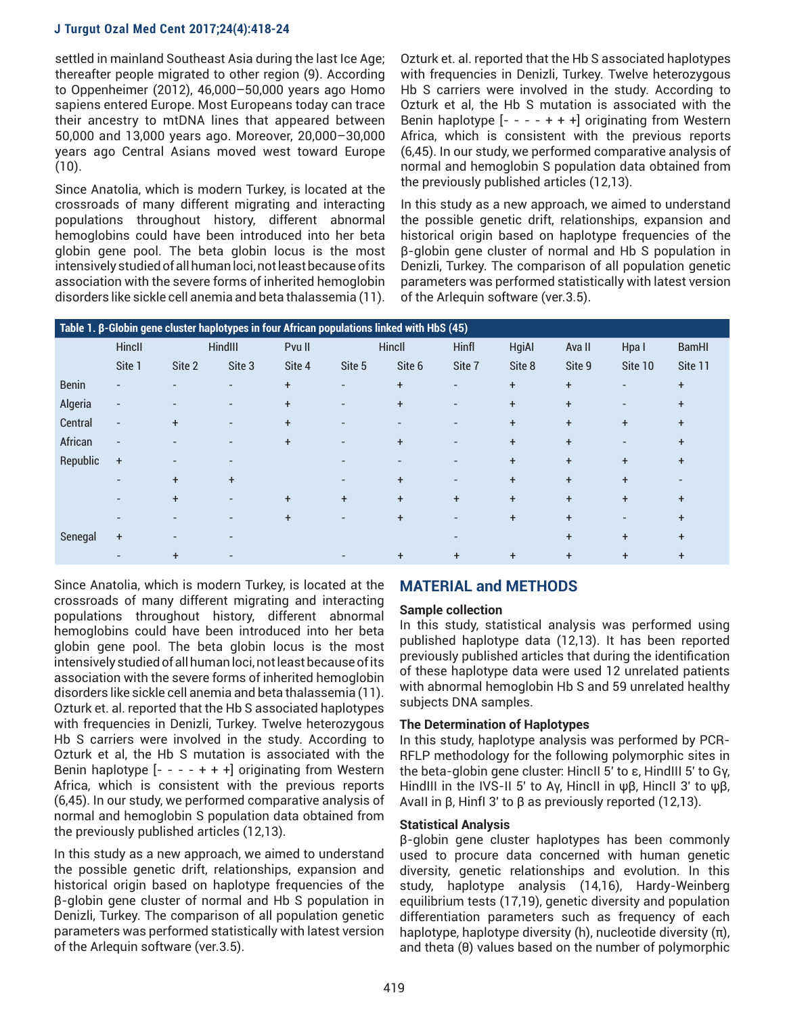settled in mainland Southeast Asia during the last Ice Age; thereafter people migrated to other region (9). According to Oppenheimer (2012), 46,000–50,000 years ago Homo sapiens entered Europe. Most Europeans today can trace their ancestry to mtDNA lines that appeared between 50,000 and 13,000 years ago. Moreover, 20,000–30,000 years ago Central Asians moved west toward Europe  $(10).$ 

Since Anatolia, which is modern Turkey, is located at the crossroads of many different migrating and interacting populations throughout history, different abnormal hemoglobins could have been introduced into her beta globin gene pool. The beta globin locus is the most intensively studied of all human loci, not least because of its association with the severe forms of inherited hemoglobin disorders like sickle cell anemia and beta thalassemia (11).

Ozturk et. al. reported that the Hb S associated haplotypes with frequencies in Denizli, Turkey. Twelve heterozygous Hb S carriers were involved in the study. According to Ozturk et al, the Hb S mutation is associated with the Benin haplotype  $[- - - + + +]$  originating from Western Africa, which is consistent with the previous reports (6,45). In our study, we performed comparative analysis of normal and hemoglobin S population data obtained from the previously published articles (12,13).

In this study as a new approach, we aimed to understand the possible genetic drift, relationships, expansion and historical origin based on haplotype frequencies of the β-globin gene cluster of normal and Hb S population in Denizli, Turkey. The comparison of all population genetic parameters was performed statistically with latest version of the Arlequin software (ver.3.5).

| Table 1. $\beta$ -Globin gene cluster haplotypes in four African populations linked with HbS (45) |                          |                          |                          |           |                          |           |                          |              |           |                          |              |
|---------------------------------------------------------------------------------------------------|--------------------------|--------------------------|--------------------------|-----------|--------------------------|-----------|--------------------------|--------------|-----------|--------------------------|--------------|
|                                                                                                   | Hincll                   | HindIII                  |                          | Pvu II    | Hincll                   |           | Hinfl                    | <b>HgiAl</b> | Ava II    | Hpa I                    | <b>BamHI</b> |
|                                                                                                   | Site 1                   | Site 2                   | Site 3                   | Site 4    | Site 5                   | Site 6    | Site 7                   | Site 8       | Site 9    | Site 10                  | Site 11      |
| <b>Benin</b>                                                                                      | $\overline{\phantom{a}}$ | $\overline{a}$           |                          | $\ddot{}$ | $\overline{\phantom{0}}$ | $\ddot{}$ | $\overline{\phantom{0}}$ | $+$          | $\ddot{}$ | $\overline{\phantom{a}}$ | $\ddot{}$    |
| Algeria                                                                                           | $\overline{\phantom{0}}$ |                          | $\overline{\phantom{0}}$ | $+$       | $\overline{\phantom{a}}$ | $\ddot{}$ | $\overline{\phantom{0}}$ | $+$          | $\ddot{}$ | $\overline{\phantom{0}}$ | $\ddot{}$    |
| Central                                                                                           | $\overline{\phantom{a}}$ | $\ddot{}$                | $\overline{\phantom{0}}$ | $\ddot{}$ |                          |           | $\overline{a}$           | $+$          | $\ddot{}$ | $\ddot{}$                | $\ddot{}$    |
| African                                                                                           | $\overline{a}$           |                          |                          | $\ddot{}$ |                          | $\ddot{}$ | $\overline{a}$           | $\ddot{}$    | $\ddot{}$ |                          | $\ddot{}$    |
| Republic                                                                                          | $\ddot{}$                | $\overline{\phantom{0}}$ |                          |           |                          |           | -                        | $\ddot{}$    | $\ddot{}$ | $\ddot{}$                | $\ddot{}$    |
|                                                                                                   | $\overline{\phantom{a}}$ | $+$                      | $\ddot{}$                |           | $\overline{\phantom{a}}$ | $+$       | $\overline{\phantom{0}}$ | $\ddot{}$    | $\ddot{}$ | $\ddot{}$                |              |
|                                                                                                   | $\overline{a}$           | $\ddot{}$                | $\overline{a}$           | $\ddot{}$ | $\ddot{}$                | $\ddot{}$ | $\ddot{}$                | $+$          | $\ddot{}$ | $+$                      | $\ddot{}$    |
|                                                                                                   | $\overline{\phantom{0}}$ | $\overline{a}$           |                          | $\ddot{}$ | $\overline{\phantom{a}}$ | $\ddot{}$ | $\overline{a}$           | $+$          | $\ddot{}$ | $\overline{\phantom{0}}$ | $\ddot{}$    |
| Senegal                                                                                           | $\ddot{}$                | $\overline{a}$           |                          |           |                          |           |                          |              | $\ddot{}$ | $\ddot{}$                | $\ddot{}$    |
|                                                                                                   |                          | $\ddot{}$                |                          |           |                          | $\ddot{}$ | $\ddot{}$                | $\ddot{}$    | $\ddot{}$ | $\ddot{}$                | $\ddot{}$    |

Since Anatolia, which is modern Turkey, is located at the crossroads of many different migrating and interacting populations throughout history, different abnormal hemoglobins could have been introduced into her beta globin gene pool. The beta globin locus is the most intensively studied of all human loci, not least because of its association with the severe forms of inherited hemoglobin disorders like sickle cell anemia and beta thalassemia (11). Ozturk et. al. reported that the Hb S associated haplotypes with frequencies in Denizli, Turkey. Twelve heterozygous Hb S carriers were involved in the study. According to Ozturk et al, the Hb S mutation is associated with the Benin haplotype  $[- - - + + +]$  originating from Western Africa, which is consistent with the previous reports (6,45). In our study, we performed comparative analysis of normal and hemoglobin S population data obtained from the previously published articles (12,13).

In this study as a new approach, we aimed to understand the possible genetic drift, relationships, expansion and historical origin based on haplotype frequencies of the β-globin gene cluster of normal and Hb S population in Denizli, Turkey. The comparison of all population genetic parameters was performed statistically with latest version of the Arlequin software (ver.3.5).

# **MATERIAL and METHODS**

# **Sample collection**

In this study, statistical analysis was performed using published haplotype data (12,13). It has been reported previously published articles that during the identification of these haplotype data were used 12 unrelated patients with abnormal hemoglobin Hb S and 59 unrelated healthy subjects DNA samples.

## **The Determination of Haplotypes**

In this study, haplotype analysis was performed by PCR-RFLP methodology for the following polymorphic sites in the beta-globin gene cluster: HincII 5′ to ε, HindIII 5′ to Gγ, HindIII in the IVS-II 5′ to Aγ, HincII in ψβ, HincII 3′ to ψβ, AvaII in β, HinfI 3′ to β as previously reported (12,13).

# **Statistical Analysis**

β-globin gene cluster haplotypes has been commonly used to procure data concerned with human genetic diversity, genetic relationships and evolution. In this study, haplotype analysis (14,16), Hardy-Weinberg equilibrium tests (17,19), genetic diversity and population differentiation parameters such as frequency of each haplotype, haplotype diversity (h), nucleotide diversity (π), and theta (θ) values based on the number of polymorphic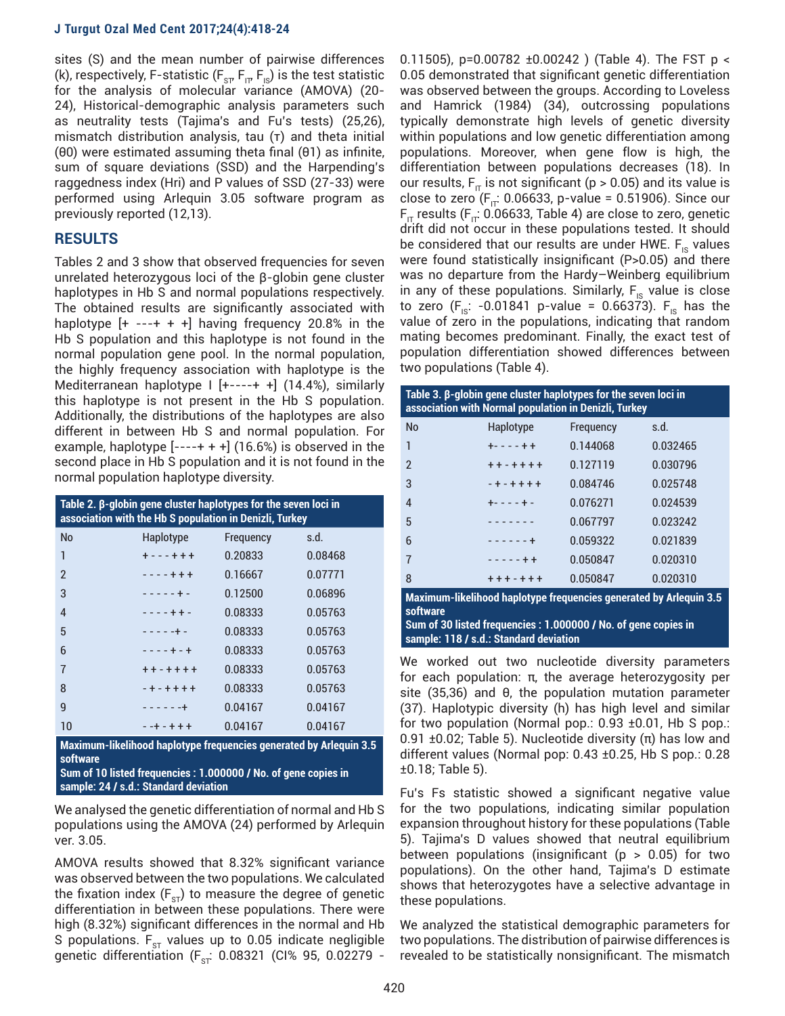sites (S) and the mean number of pairwise differences (k), respectively, F-statistic ( $F_{ST}F_{IT}F_{IS}$ ) is the test statistic for the analysis of molecular variance (AMOVA) (20- 24), Historical-demographic analysis parameters such as neutrality tests (Tajima's and Fu's tests) (25,26), mismatch distribution analysis, tau (τ) and theta initial (θ0) were estimated assuming theta final (θ1) as infinite, sum of square deviations (SSD) and the Harpending's raggedness index (Hri) and P values of SSD (27-33) were performed using Arlequin 3.05 software program as previously reported (12,13).

# **RESULTS**

Tables 2 and 3 show that observed frequencies for seven unrelated heterozygous loci of the β-globin gene cluster haplotypes in Hb S and normal populations respectively. The obtained results are significantly associated with haplotype  $[+ - - + + +]$  having frequency 20.8% in the Hb S population and this haplotype is not found in the normal population gene pool. In the normal population, the highly frequency association with haplotype is the Mediterranean haplotype I [+----+ +] (14.4%), similarly this haplotype is not present in the Hb S population. Additionally, the distributions of the haplotypes are also different in between Hb S and normal population. For example, haplotype  $[---+++]$  (16.6%) is observed in the second place in Hb S population and it is not found in the normal population haplotype diversity.

| Table 2. $\beta$ -globin gene cluster haplotypes for the seven loci in<br>association with the Hb S population in Denizli, Turkey |                 |           |         |  |  |  |  |
|-----------------------------------------------------------------------------------------------------------------------------------|-----------------|-----------|---------|--|--|--|--|
| <b>No</b>                                                                                                                         | Haplotype       | Frequency | s.d.    |  |  |  |  |
| 1                                                                                                                                 | $+ - - + + +$   | 0.20833   | 0.08468 |  |  |  |  |
| $\mathfrak{p}$                                                                                                                    | $- - - + + +$   | 0.16667   | 0.07771 |  |  |  |  |
| 3                                                                                                                                 | $- - - - - + -$ | 0.12500   | 0.06896 |  |  |  |  |
| $\overline{4}$                                                                                                                    | $- - - + + -$   | 0.08333   | 0.05763 |  |  |  |  |
| 5                                                                                                                                 | $- - - - - + -$ | 0.08333   | 0.05763 |  |  |  |  |
| 6                                                                                                                                 | $- - - + + - +$ | 0.08333   | 0.05763 |  |  |  |  |
| 7                                                                                                                                 | $+ + - + + + +$ | 0.08333   | 0.05763 |  |  |  |  |
| 8                                                                                                                                 | $-+ - + + + +$  | 0.08333   | 0.05763 |  |  |  |  |
| 9                                                                                                                                 | $- - - - - - +$ | 0.04167   | 0.04167 |  |  |  |  |
| 10                                                                                                                                | $-+ - + + +$    | 0.04167   | 0.04167 |  |  |  |  |
| $\mathcal{L}(\mathcal{L})$ and $\mathcal{L}(\mathcal{L})$ and $\mathcal{L}(\mathcal{L})$ and $\mathcal{L}(\mathcal{L})$           |                 |           |         |  |  |  |  |

**Maximum-likelihood haplotype frequencies generated by Arlequin 3.5 software Sum of 10 listed frequencies : 1.000000 / No. of gene copies in sample: 24 / s.d.: Standard deviation**

We analysed the genetic differentiation of normal and Hb S populations using the AMOVA (24) performed by Arlequin ver. 3.05.

AMOVA results showed that 8.32% significant variance was observed between the two populations. We calculated the fixation index ( $F_{ST}$ ) to measure the degree of genetic differentiation in between these populations. There were high (8.32%) significant differences in the normal and Hb S populations.  $\mathsf{F}_{\texttt{ST}}$  values up to 0.05 indicate negligible genetic differentiation (F $_{\rm{sr}}$  0.08321 (CI% 95, 0.02279 - 0.11505), p=0.00782  $\pm$ 0.00242 ) (Table 4). The FST p < 0.05 demonstrated that significant genetic differentiation was observed between the groups. According to Loveless and Hamrick (1984) (34), outcrossing populations typically demonstrate high levels of genetic diversity within populations and low genetic differentiation among populations. Moreover, when gene flow is high, the differentiation between populations decreases (18). In our results, F<sub>IT</sub> is not significant (p > 0.05) and its value is close to zero ( $F_{\text{IT}}$ : 0.06633, p-value = 0.51906). Since our  $F_{\text{IT}}$  results ( $F_{\text{IT}}$ : 0.06633, Table 4) are close to zero, genetic drift did not occur in these populations tested. It should be considered that our results are under HWE.  $F_{\text{IS}}$  values were found statistically insignificant (P>0.05) and there was no departure from the Hardy–Weinberg equilibrium in any of these populations. Similarly,  $F_{\text{IS}}$  value is close to zero ( $F_{1s}$ : -0.01841 p-value = 0.66373).  $F_{1s}$  has the value of zero in the populations, indicating that random mating becomes predominant. Finally, the exact test of population differentiation showed differences between two populations (Table 4).

| Table 3. $\beta$ -globin gene cluster haplotypes for the seven loci in<br>association with Normal population in Denizli, Turkey |                 |           |          |  |  |  |  |  |
|---------------------------------------------------------------------------------------------------------------------------------|-----------------|-----------|----------|--|--|--|--|--|
| <b>No</b>                                                                                                                       | Haplotype       | Frequency | s.d.     |  |  |  |  |  |
| 1                                                                                                                               | $+ - - - + +$   | 0.144068  | 0.032465 |  |  |  |  |  |
| $\mathfrak{p}$                                                                                                                  | $+ + - + + + +$ | 0.127119  | 0.030796 |  |  |  |  |  |
| 3                                                                                                                               | $-+ - + + + +$  | 0.084746  | 0.025748 |  |  |  |  |  |
| $\overline{4}$                                                                                                                  | $+ - - - + -$   | 0.076271  | 0.024539 |  |  |  |  |  |
| 5                                                                                                                               | <u>.</u>        | 0.067797  | 0.023242 |  |  |  |  |  |
| 6                                                                                                                               | $- - - - - +$   | 0.059322  | 0.021839 |  |  |  |  |  |
| $\overline{7}$                                                                                                                  | $- - - - + +$   | 0.050847  | 0.020310 |  |  |  |  |  |
| 8                                                                                                                               | $+ + + - + + +$ | 0.050847  | 0.020310 |  |  |  |  |  |
| Maximum-likelihood haplotype frequencies generated by Arlequin 3.5<br>software                                                  |                 |           |          |  |  |  |  |  |

**Sum of 30 listed frequencies : 1.000000 / No. of gene copies in sample: 118 / s.d.: Standard deviation**

We worked out two nucleotide diversity parameters for each population: π, the average heterozygosity per site (35,36) and θ, the population mutation parameter (37). Haplotypic diversity (h) has high level and similar for two population (Normal pop.:  $0.93 \pm 0.01$ , Hb S pop.: 0.91 ±0.02; Table 5). Nucleotide diversity (π) has low and different values (Normal pop: 0.43 ±0.25, Hb S pop.: 0.28 ±0.18; Table 5).

Fu's Fs statistic showed a significant negative value for the two populations, indicating similar population expansion throughout history for these populations (Table 5). Tajima's D values showed that neutral equilibrium between populations (insignificant ( $p > 0.05$ ) for two populations). On the other hand, Tajima's D estimate shows that heterozygotes have a selective advantage in these populations.

We analyzed the statistical demographic parameters for two populations. The distribution of pairwise differences is revealed to be statistically nonsignificant. The mismatch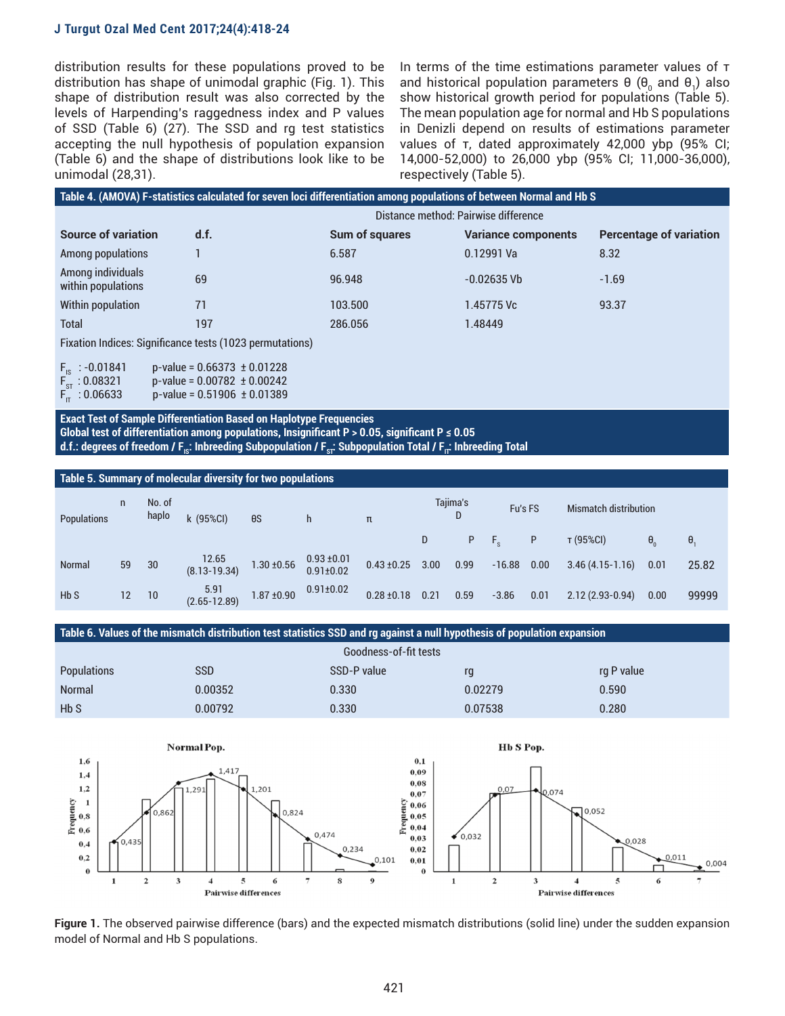distribution results for these populations proved to be distribution has shape of unimodal graphic (Fig. 1). This shape of distribution result was also corrected by the levels of Harpending's raggedness index and P values of SSD (Table 6) (27). The SSD and rg test statistics accepting the null hypothesis of population expansion (Table 6) and the shape of distributions look like to be unimodal (28,31).

In terms of the time estimations parameter values of τ and historical population parameters θ (θ<sub>0</sub> and θ<sub>1</sub>) also show historical growth period for populations (Table 5). The mean population age for normal and Hb S populations in Denizli depend on results of estimations parameter values of τ, dated approximately 42,000 ybp (95% CI; 14,000-52,000) to 26,000 ybp (95% CI; 11,000-36,000), respectively (Table 5).

| Table 4. (AMOVA) F-statistics calculated for seven loci differentiation among populations of between Normal and Hb S |                                      |                       |                            |                                |  |  |  |  |
|----------------------------------------------------------------------------------------------------------------------|--------------------------------------|-----------------------|----------------------------|--------------------------------|--|--|--|--|
|                                                                                                                      | Distance method: Pairwise difference |                       |                            |                                |  |  |  |  |
| <b>Source of variation</b>                                                                                           | d.f.                                 | <b>Sum of squares</b> | <b>Variance components</b> | <b>Percentage of variation</b> |  |  |  |  |
| Among populations                                                                                                    |                                      | 6.587                 | 0.12991 Va                 | 8.32                           |  |  |  |  |
| Among individuals<br>within populations                                                                              | 69                                   | 96.948                | $-0.02635$ Vb              | $-1.69$                        |  |  |  |  |
| Within population                                                                                                    | 71                                   | 103.500               | 1.45775 Vc                 | 93.37                          |  |  |  |  |
| Total                                                                                                                | 197                                  | 286.056               | 1.48449                    |                                |  |  |  |  |
| <b>Fixation Indices: Significance tests (1023 permutations)</b>                                                      |                                      |                       |                            |                                |  |  |  |  |

Fixation Indices: Significance tests (1023 permutations)

 $F_{1s}$  : -0.01841 p-value = 0.66373 ± 0.01228<br> $F_{sT}$  : 0.08321 p-value = 0.00782 ± 0.00242  $F_{\text{ST}}^{\text{F}}$  : 0.08321 p-value = 0.00782 ± 0.00242<br> $F_{\text{IT}}^{\text{F}}$  : 0.06633 p-value = 0.51906 ± 0.01389  $p-value = 0.51906 \pm 0.01389$ 

**Exact Test of Sample Differentiation Based on Haplotype Frequencies** Global test of differentiation among populations, Insignificant  $P > 0.05$ , significant  $P \le 0.05$ **d.f.: degrees of freedom / F<sub>IS</sub>: Inbreeding Subpopulation / F<sub>ST</sub>: Subpopulation Total / F<sub>IT</sub>: Inbreeding Total** 

| Table 5. Summary of molecular diversity for two populations |                   |                 |                           |                 |                                    |                 |      |          |          |      |                              |              |       |
|-------------------------------------------------------------|-------------------|-----------------|---------------------------|-----------------|------------------------------------|-----------------|------|----------|----------|------|------------------------------|--------------|-------|
| Populations                                                 | n                 | No. of<br>haplo | k (95%CI)                 | $\theta S$      | h                                  | π               |      | Tajima's | Fu's FS  |      | <b>Mismatch distribution</b> |              |       |
|                                                             |                   |                 |                           |                 |                                    |                 | D    | P        | F.       | P    | т (95%CI)                    | $\theta_{0}$ | θ,    |
| <b>Normal</b>                                               | 59                | 30              | 12.65<br>$(8.13 - 19.34)$ | $1.30 \pm 0.56$ | $0.93 \pm 0.01$<br>$0.91 \pm 0.02$ | $0.43 \pm 0.25$ | 3.00 | 0.99     | $-16.88$ | 0.00 | $3.46(4.15-1.16)$            | 0.01         | 25.82 |
| HbS                                                         | $12 \overline{ }$ | 10              | 5.91<br>$(2.65 - 12.89)$  | $1.87 \pm 0.90$ | $0.91 \pm 0.02$                    | $0.28 \pm 0.18$ | 0.21 | 0.59     | $-3.86$  | 0.01 | $2.12(2.93-0.94)$            | 0.00         | 99999 |

**Table 6. Values of the mismatch distribution test statistics SSD and rg against a null hypothesis of population expansion**

| Goodness-of-fit tests |            |             |         |            |  |  |  |  |
|-----------------------|------------|-------------|---------|------------|--|--|--|--|
| <b>Populations</b>    | <b>SSD</b> | SSD-P value | rq      | rg P value |  |  |  |  |
| <b>Normal</b>         | 0.00352    | 0.330       | 0.02279 | 0.590      |  |  |  |  |
| H <sub>b</sub> S      | 0.00792    | 0.330       | 0.07538 | 0.280      |  |  |  |  |



**Figure 1.** The observed pairwise difference (bars) and the expected mismatch distributions (solid line) under the sudden expansion model of Normal and Hb S populations.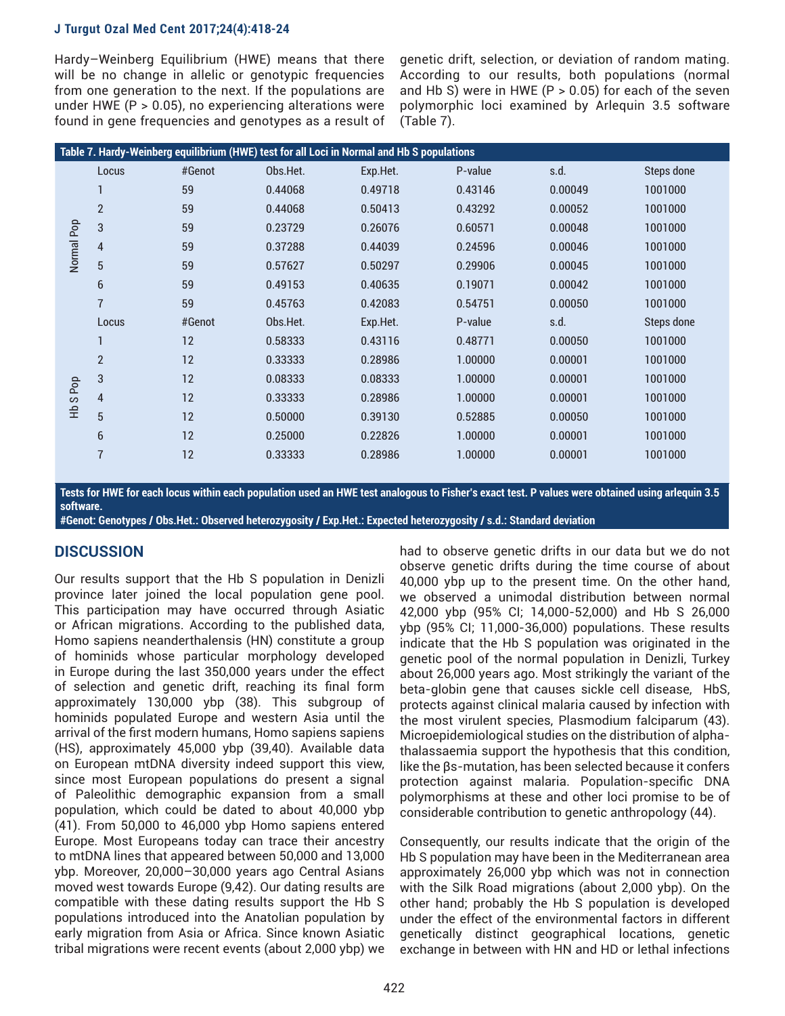Hardy–Weinberg Equilibrium (HWE) means that there will be no change in allelic or genotypic frequencies from one generation to the next. If the populations are under HWE (P > 0.05), no experiencing alterations were found in gene frequencies and genotypes as a result of genetic drift, selection, or deviation of random mating. According to our results, both populations (normal and Hb S) were in HWE ( $P > 0.05$ ) for each of the seven polymorphic loci examined by Arlequin 3.5 software (Table 7).

|            | Table 7. Hardy-Weinberg equilibrium (HWE) test for all Loci in Normal and Hb S populations |        |          |          |         |         |            |  |  |  |
|------------|--------------------------------------------------------------------------------------------|--------|----------|----------|---------|---------|------------|--|--|--|
|            | Locus                                                                                      | #Genot | Obs.Het. | Exp.Het. | P-value | s.d.    | Steps done |  |  |  |
| Normal Pop |                                                                                            | 59     | 0.44068  | 0.49718  | 0.43146 | 0.00049 | 1001000    |  |  |  |
|            | $\overline{2}$                                                                             | 59     | 0.44068  | 0.50413  | 0.43292 | 0.00052 | 1001000    |  |  |  |
|            | 3                                                                                          | 59     | 0.23729  | 0.26076  | 0.60571 | 0.00048 | 1001000    |  |  |  |
|            | $\overline{4}$                                                                             | 59     | 0.37288  | 0.44039  | 0.24596 | 0.00046 | 1001000    |  |  |  |
|            | 5                                                                                          | 59     | 0.57627  | 0.50297  | 0.29906 | 0.00045 | 1001000    |  |  |  |
|            | 6                                                                                          | 59     | 0.49153  | 0.40635  | 0.19071 | 0.00042 | 1001000    |  |  |  |
|            | $\overline{1}$                                                                             | 59     | 0.45763  | 0.42083  | 0.54751 | 0.00050 | 1001000    |  |  |  |
|            | Locus                                                                                      | #Genot | Obs.Het. | Exp.Het. | P-value | s.d.    | Steps done |  |  |  |
|            |                                                                                            | 12     | 0.58333  | 0.43116  | 0.48771 | 0.00050 | 1001000    |  |  |  |
|            | $\overline{2}$                                                                             | 12     | 0.33333  | 0.28986  | 1.00000 | 0.00001 | 1001000    |  |  |  |
|            | 3                                                                                          | 12     | 0.08333  | 0.08333  | 1.00000 | 0.00001 | 1001000    |  |  |  |
| S Pop      | $\overline{4}$                                                                             | 12     | 0.33333  | 0.28986  | 1.00000 | 0.00001 | 1001000    |  |  |  |
| 운          | 5                                                                                          | 12     | 0.50000  | 0.39130  | 0.52885 | 0.00050 | 1001000    |  |  |  |
|            | 6                                                                                          | 12     | 0.25000  | 0.22826  | 1.00000 | 0.00001 | 1001000    |  |  |  |
|            | $\overline{7}$                                                                             | 12     | 0.33333  | 0.28986  | 1.00000 | 0.00001 | 1001000    |  |  |  |
|            |                                                                                            |        |          |          |         |         |            |  |  |  |

**Tests for HWE for each locus within each population used an HWE test analogous to Fisher's exact test. P values were obtained using arlequin 3.5 software.**

**#Genot: Genotypes / Obs.Het.: Observed heterozygosity / Exp.Het.: Expected heterozygosity / s.d.: Standard deviation**

## **DISCUSSION**

Our results support that the Hb S population in Denizli province later joined the local population gene pool. This participation may have occurred through Asiatic or African migrations. According to the published data, Homo sapiens neanderthalensis (HN) constitute a group of hominids whose particular morphology developed in Europe during the last 350,000 years under the effect of selection and genetic drift, reaching its final form approximately 130,000 ybp (38). This subgroup of hominids populated Europe and western Asia until the arrival of the first modern humans, Homo sapiens sapiens (HS), approximately 45,000 ybp (39,40). Available data on European mtDNA diversity indeed support this view, since most European populations do present a signal of Paleolithic demographic expansion from a small population, which could be dated to about 40,000 ybp (41). From 50,000 to 46,000 ybp Homo sapiens entered Europe. Most Europeans today can trace their ancestry to mtDNA lines that appeared between 50,000 and 13,000 ybp. Moreover, 20,000–30,000 years ago Central Asians moved west towards Europe (9,42). Our dating results are compatible with these dating results support the Hb S populations introduced into the Anatolian population by early migration from Asia or Africa. Since known Asiatic tribal migrations were recent events (about 2,000 ybp) we

had to observe genetic drifts in our data but we do not observe genetic drifts during the time course of about 40,000 ybp up to the present time. On the other hand, we observed a unimodal distribution between normal 42,000 ybp (95% CI; 14,000-52,000) and Hb S 26,000 ybp (95% CI; 11,000-36,000) populations. These results indicate that the Hb S population was originated in the genetic pool of the normal population in Denizli, Turkey about 26,000 years ago. Most strikingly the variant of the beta-globin gene that causes sickle cell disease, HbS, protects against clinical malaria caused by infection with the most virulent species, Plasmodium falciparum (43). Microepidemiological studies on the distribution of alphathalassaemia support the hypothesis that this condition, like the βs-mutation, has been selected because it confers protection against malaria. Population-specific DNA polymorphisms at these and other loci promise to be of considerable contribution to genetic anthropology (44).

Consequently, our results indicate that the origin of the Hb S population may have been in the Mediterranean area approximately 26,000 ybp which was not in connection with the Silk Road migrations (about 2,000 ybp). On the other hand; probably the Hb S population is developed under the effect of the environmental factors in different genetically distinct geographical locations, genetic exchange in between with HN and HD or lethal infections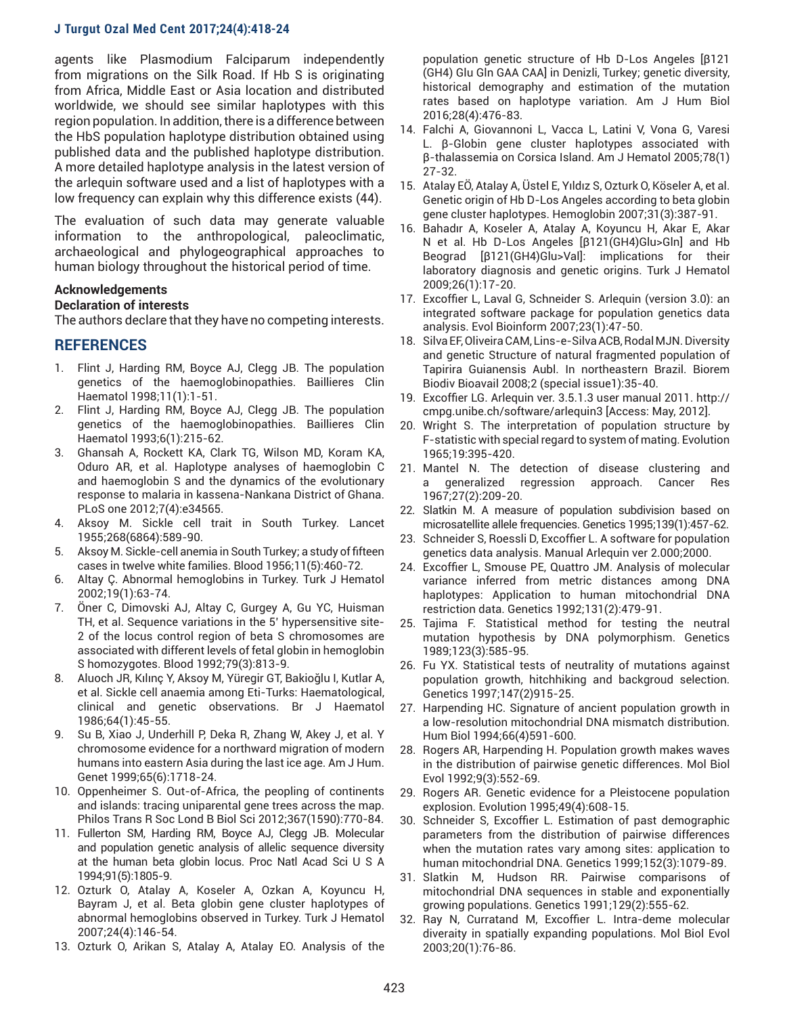agents like Plasmodium Falciparum independently from migrations on the Silk Road. If Hb S is originating from Africa, Middle East or Asia location and distributed worldwide, we should see similar haplotypes with this region population. In addition, there is a difference between the HbS population haplotype distribution obtained using published data and the published haplotype distribution. A more detailed haplotype analysis in the latest version of the arlequin software used and a list of haplotypes with a low frequency can explain why this difference exists (44).

The evaluation of such data may generate valuable information to the anthropological, paleoclimatic, archaeological and phylogeographical approaches to human biology throughout the historical period of time.

## **Acknowledgements**

## **Declaration of interests**

The authors declare that they have no competing interests.

## **REFERENCES**

- 1. Flint J, Harding RM, Boyce AJ, Clegg JB. The population genetics of the haemoglobinopathies. Baillieres Clin Haematol 1998;11(1):1-51.
- 2. Flint J, Harding RM, Boyce AJ, Clegg JB. The population genetics of the haemoglobinopathies. Baillieres Clin Haematol 1993;6(1):215-62.
- 3. Ghansah A, Rockett KA, Clark TG, Wilson MD, Koram KA, Oduro AR, et al. Haplotype analyses of haemoglobin C and haemoglobin S and the dynamics of the evolutionary response to malaria in kassena-Nankana District of Ghana. PLoS one 2012;7(4):e34565.
- 4. Aksoy M. Sickle cell trait in South Turkey. Lancet 1955;268(6864):589-90.
- 5. Aksoy M. Sickle-cell anemia in South Turkey; a study of fifteen cases in twelve white families. Blood 1956;11(5):460-72.
- 6. Altay Ç. Abnormal hemoglobins in Turkey. Turk J Hematol 2002;19(1):63-74.
- 7. Öner C, Dimovski AJ, Altay C, Gurgey A, Gu YC, Huisman TH, et al. Sequence variations in the 5' hypersensitive site-2 of the locus control region of beta S chromosomes are associated with different levels of fetal globin in hemoglobin S homozygotes. Blood 1992;79(3):813-9.
- 8. Aluoch JR, Kılınç Y, Aksoy M, Yüregir GT, Bakioğlu I, Kutlar A, et al. Sickle cell anaemia among Eti-Turks: Haematological, clinical and genetic observations. Br J Haematol 1986;64(1):45-55.
- 9. Su B, Xiao J, Underhill P, Deka R, Zhang W, Akey J, et al. Y chromosome evidence for a northward migration of modern humans into eastern Asia during the last ice age. Am J Hum. Genet 1999;65(6):1718-24.
- 10. Oppenheimer S. Out-of-Africa, the peopling of continents and islands: tracing uniparental gene trees across the map. Philos Trans R Soc Lond B Biol Sci 2012;367(1590):770-84.
- 11. Fullerton SM, Harding RM, Boyce AJ, Clegg JB. Molecular and population genetic analysis of allelic sequence diversity at the human beta globin locus. Proc Natl Acad Sci U S A 1994;91(5):1805-9.
- 12. Ozturk O, Atalay A, Koseler A, Ozkan A, Koyuncu H, Bayram J, et al. Beta globin gene cluster haplotypes of abnormal hemoglobins observed in Turkey. Turk J Hematol 2007;24(4):146-54.
- 13. Ozturk O, Arikan S, Atalay A, Atalay EO. Analysis of the

population genetic structure of Hb D-Los Angeles [β121 (GH4) Glu Gln GAA CAA] in Denizli, Turkey; genetic diversity, historical demography and estimation of the mutation rates based on haplotype variation. Am J Hum Biol 2016;28(4):476-83.

- 14. Falchi A, Giovannoni L, Vacca L, Latini V, Vona G, Varesi L. β-Globin gene cluster haplotypes associated with β-thalassemia on Corsica Island. Am J Hematol 2005;78(1) 27-32.
- 15. Atalay EÖ, Atalay A, Üstel E, Yıldız S, Ozturk O, Köseler A, et al. Genetic origin of Hb D-Los Angeles according to beta globin gene cluster haplotypes. Hemoglobin 2007;31(3):387-91.
- 16. Bahadır A, Koseler A, Atalay A, Koyuncu H, Akar E, Akar N et al. Hb D-Los Angeles [β121(GH4)Glu>Gln] and Hb Beograd [β121(GH4)Glu>Val]: implications for their laboratory diagnosis and genetic origins. Turk J Hematol 2009;26(1):17-20.
- 17. Excoffier L, Laval G, Schneider S. Arlequin (version 3.0): an integrated software package for population genetics data analysis. Evol Bioinform 2007;23(1):47-50.
- 18. Silva EF, Oliveira CAM, Lins-e-Silva ACB, Rodal MJN. Diversity and genetic Structure of natural fragmented population of Tapirira Guianensis Aubl. In northeastern Brazil. Biorem Biodiv Bioavail 2008;2 (special issue1):35-40.
- 19. Excoffier LG. Arlequin ver. 3.5.1.3 user manual 2011. http:// cmpg.unibe.ch/software/arlequin3 [Access: May, 2012].
- 20. Wright S. The interpretation of population structure by F-statistic with special regard to system of mating. Evolution 1965;19:395-420.
- 21. Mantel N. The detection of disease clustering and a generalized regression approach. Cancer Res 1967;27(2):209-20.
- 22. Slatkin M. A measure of population subdivision based on microsatellite allele frequencies. Genetics 1995;139(1):457-62.
- 23. Schneider S, Roessli D, Excoffier L. A software for population genetics data analysis. Manual Arlequin ver 2.000;2000.
- 24. Excoffier L, Smouse PE, Quattro JM. Analysis of molecular variance inferred from metric distances among DNA haplotypes: Application to human mitochondrial DNA restriction data. Genetics 1992;131(2):479-91.
- 25. Tajima F. Statistical method for testing the neutral mutation hypothesis by DNA polymorphism. Genetics 1989;123(3):585-95.
- 26. Fu YX. Statistical tests of neutrality of mutations against population growth, hitchhiking and backgroud selection. Genetics 1997;147(2)915-25.
- 27. Harpending HC. Signature of ancient population growth in a low-resolution mitochondrial DNA mismatch distribution. Hum Biol 1994;66(4)591-600.
- 28. Rogers AR, Harpending H. Population growth makes waves in the distribution of pairwise genetic differences. Mol Biol Evol 1992;9(3):552-69.
- 29. Rogers AR. Genetic evidence for a Pleistocene population explosion. Evolution 1995;49(4):608-15.
- 30. Schneider S, Excoffier L. Estimation of past demographic parameters from the distribution of pairwise differences when the mutation rates vary among sites: application to human mitochondrial DNA. Genetics 1999;152(3):1079-89.
- 31. Slatkin M, Hudson RR. Pairwise comparisons of mitochondrial DNA sequences in stable and exponentially growing populations. Genetics 1991;129(2):555-62.
- 32. Ray N, Curratand M, Excoffier L. Intra-deme molecular diveraity in spatially expanding populations. Mol Biol Evol 2003;20(1):76-86.